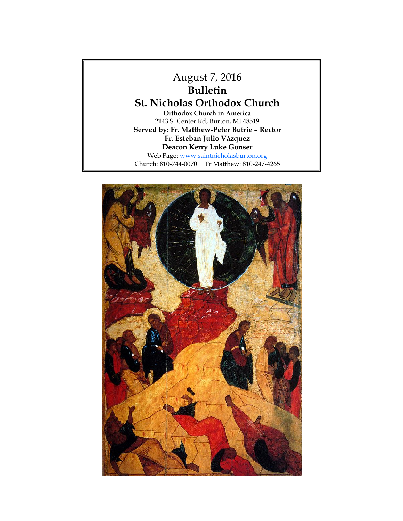# August 7, 2016 **Bulletin St. Nicholas Orthodox Church Orthodox Church in America**

2143 S. Center Rd, Burton, MI 48519 **Served by: Fr. Matthew-Peter Butrie – Rector Fr. Esteban Julio Vázquez Deacon Kerry Luke Gonser** Web Page: [www.saintnicholasburton.org](http://www.saintnicholasburton.org/) Church: 810-744-0070 Fr Matthew: 810-247-4265

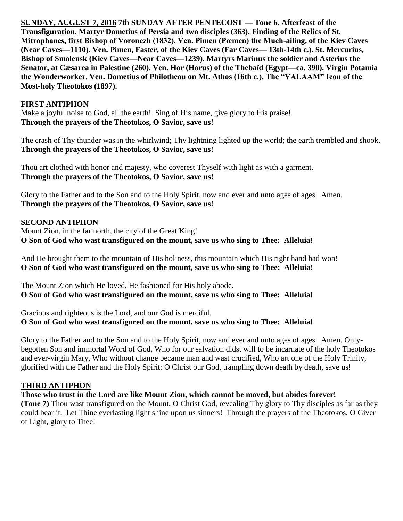**SUNDAY, AUGUST 7, 2016 7th SUNDAY AFTER PENTECOST — Tone 6. Afterfeast of the Transfiguration. Martyr Dometius of Persia and two disciples (363). Finding of the Relics of St. Mitrophanes, first Bishop of Voronezh (1832). Ven. Pimen (Pœmen) the Much-ailing, of the Kiev Caves (Near Caves—1110). Ven. Pimen, Faster, of the Kiev Caves (Far Caves— 13th-14th c.). St. Mercurius, Bishop of Smolensk (Kiev Caves—Near Caves—1239). Martyrs Marinus the soldier and Asterius the Senator, at Cæsarea in Palestine (260). Ven. Hor (Horus) of the Thebaïd (Egypt—ca. 390). Virgin Potamia the Wonderworker. Ven. Dometius of Philotheou on Mt. Athos (16th c.). The "VALAAM" Icon of the Most-holy Theotokos (1897).** 

#### **FIRST ANTIPHON**

Make a joyful noise to God, all the earth! Sing of His name, give glory to His praise! **Through the prayers of the Theotokos, O Savior, save us!**

The crash of Thy thunder was in the whirlwind; Thy lightning lighted up the world; the earth trembled and shook. **Through the prayers of the Theotokos, O Savior, save us!**

Thou art clothed with honor and majesty, who coverest Thyself with light as with a garment. **Through the prayers of the Theotokos, O Savior, save us!**

Glory to the Father and to the Son and to the Holy Spirit, now and ever and unto ages of ages. Amen. **Through the prayers of the Theotokos, O Savior, save us!**

### **SECOND ANTIPHON**

Mount Zion, in the far north, the city of the Great King! **O Son of God who wast transfigured on the mount, save us who sing to Thee: Alleluia!**

And He brought them to the mountain of His holiness, this mountain which His right hand had won! **O Son of God who wast transfigured on the mount, save us who sing to Thee: Alleluia!**

The Mount Zion which He loved, He fashioned for His holy abode. **O Son of God who wast transfigured on the mount, save us who sing to Thee: Alleluia!**

Gracious and righteous is the Lord, and our God is merciful. **O Son of God who wast transfigured on the mount, save us who sing to Thee: Alleluia!**

Glory to the Father and to the Son and to the Holy Spirit, now and ever and unto ages of ages. Amen. Onlybegotten Son and immortal Word of God, Who for our salvation didst will to be incarnate of the holy Theotokos and ever-virgin Mary, Who without change became man and wast crucified, Who art one of the Holy Trinity, glorified with the Father and the Holy Spirit: O Christ our God, trampling down death by death, save us!

### **THIRD ANTIPHON**

**Those who trust in the Lord are like Mount Zion, which cannot be moved, but abides forever!**

**(Tone 7)** Thou wast transfigured on the Mount, O Christ God, revealing Thy glory to Thy disciples as far as they could bear it. Let Thine everlasting light shine upon us sinners! Through the prayers of the Theotokos, O Giver of Light, glory to Thee!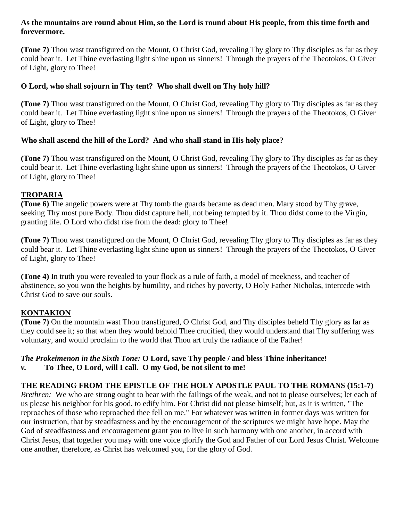#### **As the mountains are round about Him, so the Lord is round about His people, from this time forth and forevermore.**

**(Tone 7)** Thou wast transfigured on the Mount, O Christ God, revealing Thy glory to Thy disciples as far as they could bear it. Let Thine everlasting light shine upon us sinners! Through the prayers of the Theotokos, O Giver of Light, glory to Thee!

## **O Lord, who shall sojourn in Thy tent? Who shall dwell on Thy holy hill?**

**(Tone 7)** Thou wast transfigured on the Mount, O Christ God, revealing Thy glory to Thy disciples as far as they could bear it. Let Thine everlasting light shine upon us sinners! Through the prayers of the Theotokos, O Giver of Light, glory to Thee!

## **Who shall ascend the hill of the Lord? And who shall stand in His holy place?**

**(Tone 7)** Thou wast transfigured on the Mount, O Christ God, revealing Thy glory to Thy disciples as far as they could bear it. Let Thine everlasting light shine upon us sinners! Through the prayers of the Theotokos, O Giver of Light, glory to Thee!

# **TROPARIA**

**(Tone 6)** The angelic powers were at Thy tomb the guards became as dead men. Mary stood by Thy grave, seeking Thy most pure Body. Thou didst capture hell, not being tempted by it. Thou didst come to the Virgin, granting life. O Lord who didst rise from the dead: glory to Thee!

**(Tone 7)** Thou wast transfigured on the Mount, O Christ God, revealing Thy glory to Thy disciples as far as they could bear it. Let Thine everlasting light shine upon us sinners! Through the prayers of the Theotokos, O Giver of Light, glory to Thee!

**(Tone 4)** In truth you were revealed to your flock as a rule of faith, a model of meekness, and teacher of abstinence, so you won the heights by humility, and riches by poverty, O Holy Father Nicholas, intercede with Christ God to save our souls.

# **KONTAKION**

**(Tone 7)** On the mountain wast Thou transfigured, O Christ God, and Thy disciples beheld Thy glory as far as they could see it; so that when they would behold Thee crucified, they would understand that Thy suffering was voluntary, and would proclaim to the world that Thou art truly the radiance of the Father!

#### *The Prokeimenon in the Sixth Tone:* **O Lord, save Thy people / and bless Thine inheritance!** *v.* **To Thee, O Lord, will I call. O my God, be not silent to me!**

# **THE READING FROM THE EPISTLE OF THE HOLY APOSTLE PAUL TO THE ROMANS (15:1-7)**

*Brethren:* We who are strong ought to bear with the failings of the weak, and not to please ourselves; let each of us please his neighbor for his good, to edify him. For Christ did not please himself; but, as it is written, "The reproaches of those who reproached thee fell on me." For whatever was written in former days was written for our instruction, that by steadfastness and by the encouragement of the scriptures we might have hope. May the God of steadfastness and encouragement grant you to live in such harmony with one another, in accord with Christ Jesus, that together you may with one voice glorify the God and Father of our Lord Jesus Christ. Welcome one another, therefore, as Christ has welcomed you, for the glory of God.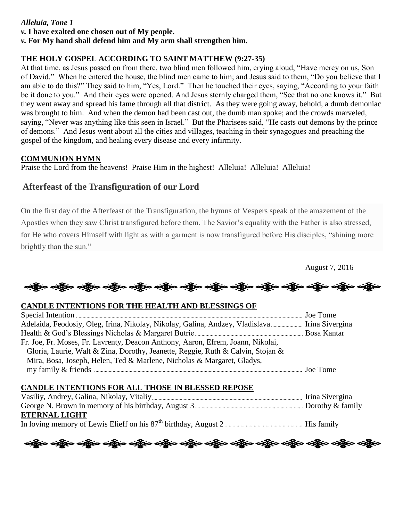## *Alleluia, Tone 1*

*v.* **I have exalted one chosen out of My people.**

#### *v.* **For My hand shall defend him and My arm shall strengthen him.**

## **THE HOLY GOSPEL ACCORDING TO SAINT MATTHEW (9:27-35)**

At that time, as Jesus passed on from there, two blind men followed him, crying aloud, "Have mercy on us, Son of David." When he entered the house, the blind men came to him; and Jesus said to them, "Do you believe that I am able to do this?" They said to him, "Yes, Lord." Then he touched their eyes, saying, "According to your faith be it done to you." And their eyes were opened. And Jesus sternly charged them, "See that no one knows it." But they went away and spread his fame through all that district. As they were going away, behold, a dumb demoniac was brought to him. And when the demon had been cast out, the dumb man spoke; and the crowds marveled, saying, "Never was anything like this seen in Israel." But the Pharisees said, "He casts out demons by the prince of demons." And Jesus went about all the cities and villages, teaching in their synagogues and preaching the gospel of the kingdom, and healing every disease and every infirmity.

#### **COMMUNION HYMN**

Praise the Lord from the heavens! Praise Him in the highest! Alleluia! Alleluia! Alleluia!

# **Afterfeast of the Transfiguration of our Lord**

On the first day of the Afterfeast of the Transfiguration, the hymns of Vespers speak of the amazement of the Apostles when they saw Christ transfigured before them. The Savior's equality with the Father is also stressed, for He who covers Himself with light as with a garment is now transfigured before His disciples, "shining more brightly than the sun."

August 7, 2016

ခရွို့လ ခရွို့လ ခရွို့လ ခရွို့လ ခရွို့လ ခရွို့လ ခရွို့လ ခရွို့လ ခရွို့လ ခရွို့လ ခရွို့လ ခရွို့လ ခရွို့လ ခရွို့

### **CANDLE INTENTIONS FOR THE HEALTH AND BLESSINGS OF**

| Fr. Joe, Fr. Moses, Fr. Lavrenty, Deacon Anthony, Aaron, Efrem, Joann, Nikolai, |  |
|---------------------------------------------------------------------------------|--|
| Gloria, Laurie, Walt & Zina, Dorothy, Jeanette, Reggie, Ruth & Calvin, Stojan & |  |
| Mira, Bosa, Joseph, Helen, Ted & Marlene, Nicholas & Margaret, Gladys,          |  |
|                                                                                 |  |

### **CANDLE INTENTIONS FOR ALL THOSE IN BLESSED REPOSE**

| Vasiliy, Andrey, Galina, Nikolay, Vitaliy <u>(1990)</u> (1990) (1990) (1991) (1991) (1991) (1992) (1993) (1993) (1993) |  |
|------------------------------------------------------------------------------------------------------------------------|--|
|                                                                                                                        |  |
| <b>ETERNAL LIGHT</b>                                                                                                   |  |
|                                                                                                                        |  |

းရွိေ ဝန္ကိုေ ဝန္ကိုေ ဝန္ကိုေ ဝန္ကိုေ ဝန္ကိုေ ဝန္ကိုေ ဝန္ကိုေ ဝန္ကိုေ ဝန္ကိုေ ဝန္ကိုေ ဝန္ကိုေ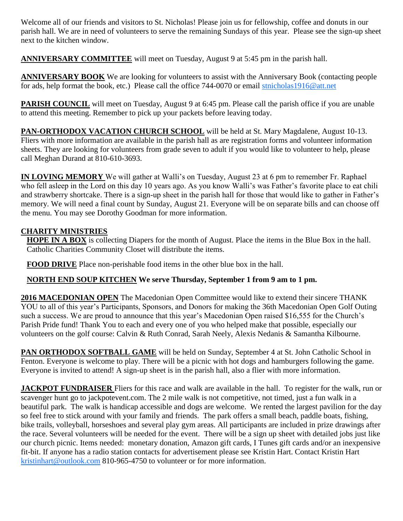Welcome all of our friends and visitors to St. Nicholas! Please join us for fellowship, coffee and donuts in our parish hall. We are in need of volunteers to serve the remaining Sundays of this year. Please see the sign-up sheet next to the kitchen window.

**ANNIVERSARY COMMITTEE** will meet on Tuesday, August 9 at 5:45 pm in the parish hall.

**ANNIVERSARY BOOK** We are looking for volunteers to assist with the Anniversary Book (contacting people for ads, help format the book, etc.) Please call the office 744-0070 or email [stnicholas1916@att.net](mailto:stnicholas1916@att.net)

**PARISH COUNCIL** will meet on Tuesday, August 9 at 6:45 pm. Please call the parish office if you are unable to attend this meeting. Remember to pick up your packets before leaving today.

**PAN-ORTHODOX VACATION CHURCH SCHOOL** will be held at St. Mary Magdalene, August 10-13. Fliers with more information are available in the parish hall as are registration forms and volunteer information sheets. They are looking for volunteers from grade seven to adult if you would like to volunteer to help, please call Meghan Durand at 810-610-3693.

**IN LOVING MEMORY** We will gather at Walli's on Tuesday, August 23 at 6 pm to remember Fr. Raphael who fell asleep in the Lord on this day 10 years ago. As you know Walli's was Father's favorite place to eat chili and strawberry shortcake. There is a sign-up sheet in the parish hall for those that would like to gather in Father's memory. We will need a final count by Sunday, August 21. Everyone will be on separate bills and can choose off the menu. You may see Dorothy Goodman for more information.

# **CHARITY MINISTRIES**

**HOPE IN A BOX** is collecting Diapers for the month of August. Place the items in the Blue Box in the hall. Catholic Charities Community Closet will distribute the items.

**FOOD DRIVE** Place non-perishable food items in the other blue box in the hall.

# **NORTH END SOUP KITCHEN We serve Thursday, September 1 from 9 am to 1 pm.**

**2016 MACEDONIAN OPEN** The Macedonian Open Committee would like to extend their sincere THANK YOU to all of this year's Participants, Sponsors, and Donors for making the 36th Macedonian Open Golf Outing such a success. We are proud to announce that this year's Macedonian Open raised \$16,555 for the Church's Parish Pride fund! Thank You to each and every one of you who helped make that possible, especially our volunteers on the golf course: Calvin & Ruth Conrad, Sarah Neely, Alexis Nedanis & Samantha Kilbourne.

**PAN ORTHODOX SOFTBALL GAME** will be held on Sunday, September 4 at St. John Catholic School in Fenton. Everyone is welcome to play. There will be a picnic with hot dogs and hamburgers following the game. Everyone is invited to attend! A sign-up sheet is in the parish hall, also a flier with more information.

**JACKPOT FUNDRAISER** Fliers for this race and walk are available in the hall. To register for the walk, run or scavenger hunt go to jackpotevent.com. The 2 mile walk is not competitive, not timed, just a fun walk in a beautiful park. The walk is handicap accessible and dogs are welcome. We rented the largest pavilion for the day so feel free to stick around with your family and friends. The park offers a small beach, paddle boats, fishing, bike trails, volleyball, horseshoes and several play gym areas. All participants are included in prize drawings after the race. Several volunteers will be needed for the event. There will be a sign up sheet with detailed jobs just like our church picnic. Items needed: monetary donation, Amazon gift cards, I Tunes gift cards and/or an inexpensive fit-bit. If anyone has a radio station contacts for advertisement please see Kristin Hart. Contact Kristin Hart [kristinhart@outlook.com](mailto:kristinhart@outlook.com) 810-965-4750 to volunteer or for more information.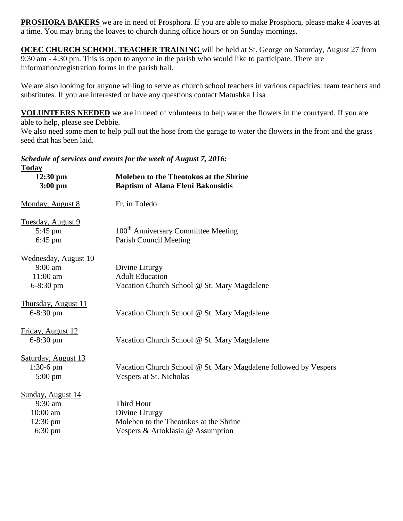**PROSHORA BAKERS** we are in need of Prosphora. If you are able to make Prosphora, please make 4 loaves at a time. You may bring the loaves to church during office hours or on Sunday mornings.

**OCEC CHURCH SCHOOL TEACHER TRAINING** will be held at St. George on Saturday, August 27 from 9:30 am - 4:30 pm. This is open to anyone in the parish who would like to participate. There are information/registration forms in the parish hall.

We are also looking for anyone willing to serve as church school teachers in various capacities: team teachers and substitutes. If you are interested or have any questions contact Matushka Lisa

**VOLUNTEERS NEEDED** we are in need of volunteers to help water the flowers in the courtyard. If you are able to help, please see Debbie.

We also need some men to help pull out the hose from the garage to water the flowers in the front and the grass seed that has been laid.

*Schedule of services and events for the week of August 7, 2016:*

| <b>Today</b>                |                                                                 |
|-----------------------------|-----------------------------------------------------------------|
| $12:30$ pm                  | <b>Moleben to the Theotokos at the Shrine</b>                   |
| $3:00$ pm                   | <b>Baptism of Alana Eleni Bakousidis</b>                        |
| Monday, August 8            | Fr. in Toledo                                                   |
| Tuesday, August 9           |                                                                 |
| 5:45 pm                     | 100 <sup>th</sup> Anniversary Committee Meeting                 |
| $6:45$ pm                   | <b>Parish Council Meeting</b>                                   |
| <b>Wednesday, August 10</b> |                                                                 |
| $9:00$ am                   | Divine Liturgy                                                  |
| $11:00$ am                  | <b>Adult Education</b>                                          |
| $6 - 8:30$ pm               | Vacation Church School @ St. Mary Magdalene                     |
| <b>Thursday, August 11</b>  |                                                                 |
| $6 - 8:30$ pm               | Vacation Church School @ St. Mary Magdalene                     |
| Friday, August 12           |                                                                 |
| $6 - 8:30$ pm               | Vacation Church School @ St. Mary Magdalene                     |
| Saturday, August 13         |                                                                 |
| $1:30-6$ pm                 | Vacation Church School @ St. Mary Magdalene followed by Vespers |
| $5:00 \text{ pm}$           | Vespers at St. Nicholas                                         |
| Sunday, August 14           |                                                                 |
| 9:30 am                     | Third Hour                                                      |
| $10:00$ am                  | Divine Liturgy                                                  |
| $12:30 \text{ pm}$          | Moleben to the Theotokos at the Shrine                          |
| 6:30 pm                     | Vespers & Artoklasia @ Assumption                               |